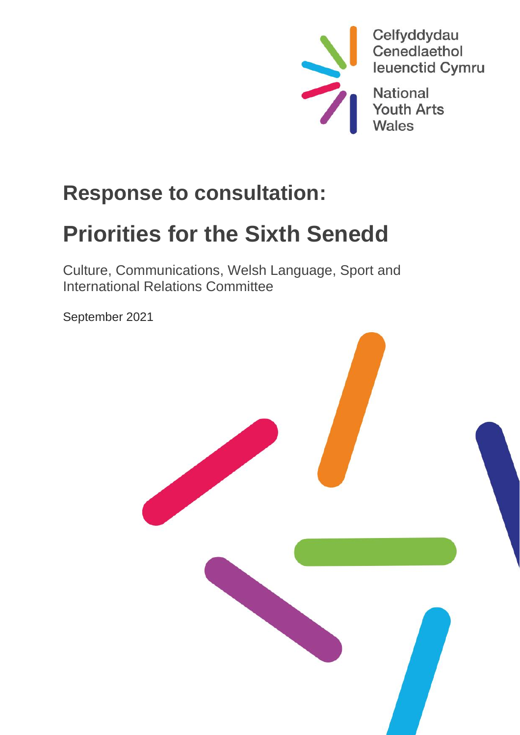

## **Response to consultation:**

# **Priorities for the Sixth Senedd**

Culture, Communications, Welsh Language, Sport and International Relations Committee

September 2021

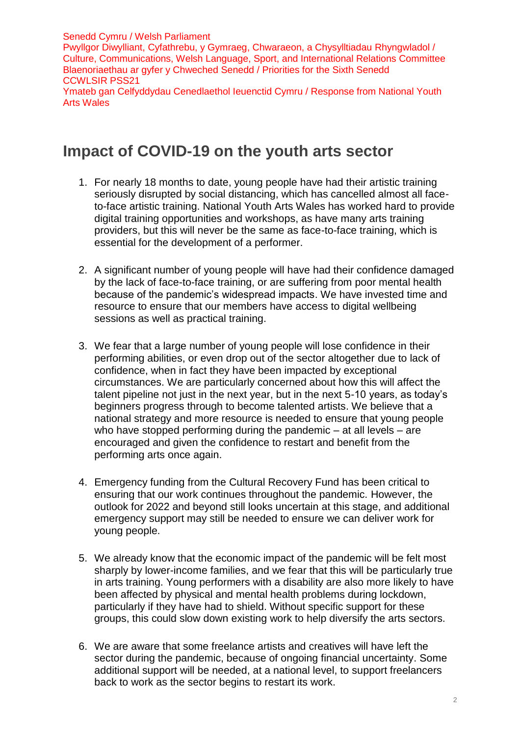Senedd Cymru / Welsh Parliament Pwyllgor Diwylliant, Cyfathrebu, y Gymraeg, Chwaraeon, a Chysylltiadau Rhyngwladol / Culture, Communications, Welsh Language, Sport, and International Relations Committee Blaenoriaethau ar gyfer y Chweched Senedd / Priorities for the Sixth Senedd CCWLSIR PSS21 Ymateb gan Celfyddydau Cenedlaethol Ieuenctid Cymru / Response from National Youth Arts Wales

#### **Impact of COVID-19 on the youth arts sector**

- 1. For nearly 18 months to date, young people have had their artistic training seriously disrupted by social distancing, which has cancelled almost all faceto-face artistic training. National Youth Arts Wales has worked hard to provide digital training opportunities and workshops, as have many arts training providers, but this will never be the same as face-to-face training, which is essential for the development of a performer.
- 2. A significant number of young people will have had their confidence damaged by the lack of face-to-face training, or are suffering from poor mental health because of the pandemic's widespread impacts. We have invested time and resource to ensure that our members have access to digital wellbeing sessions as well as practical training.
- 3. We fear that a large number of young people will lose confidence in their performing abilities, or even drop out of the sector altogether due to lack of confidence, when in fact they have been impacted by exceptional circumstances. We are particularly concerned about how this will affect the talent pipeline not just in the next year, but in the next 5-10 years, as today's beginners progress through to become talented artists. We believe that a national strategy and more resource is needed to ensure that young people who have stopped performing during the pandemic – at all levels – are encouraged and given the confidence to restart and benefit from the performing arts once again.
- 4. Emergency funding from the Cultural Recovery Fund has been critical to ensuring that our work continues throughout the pandemic. However, the outlook for 2022 and beyond still looks uncertain at this stage, and additional emergency support may still be needed to ensure we can deliver work for young people.
- 5. We already know that the economic impact of the pandemic will be felt most sharply by lower-income families, and we fear that this will be particularly true in arts training. Young performers with a disability are also more likely to have been affected by physical and mental health problems during lockdown, particularly if they have had to shield. Without specific support for these groups, this could slow down existing work to help diversify the arts sectors.
- 6. We are aware that some freelance artists and creatives will have left the sector during the pandemic, because of ongoing financial uncertainty. Some additional support will be needed, at a national level, to support freelancers back to work as the sector begins to restart its work.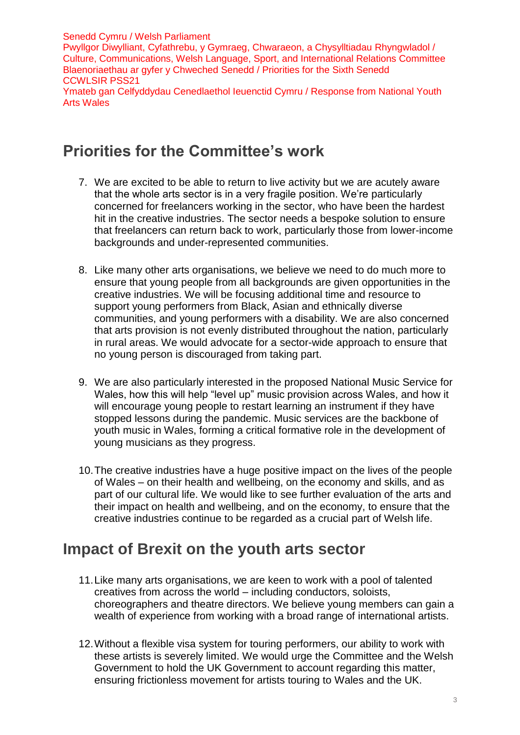Senedd Cymru / Welsh Parliament Pwyllgor Diwylliant, Cyfathrebu, y Gymraeg, Chwaraeon, a Chysylltiadau Rhyngwladol / Culture, Communications, Welsh Language, Sport, and International Relations Committee Blaenoriaethau ar gyfer y Chweched Senedd / Priorities for the Sixth Senedd CCWLSIR PSS21 Ymateb gan Celfyddydau Cenedlaethol Ieuenctid Cymru / Response from National Youth Arts Wales

### **Priorities for the Committee's work**

- 7. We are excited to be able to return to live activity but we are acutely aware that the whole arts sector is in a very fragile position. We're particularly concerned for freelancers working in the sector, who have been the hardest hit in the creative industries. The sector needs a bespoke solution to ensure that freelancers can return back to work, particularly those from lower-income backgrounds and under-represented communities.
- 8. Like many other arts organisations, we believe we need to do much more to ensure that young people from all backgrounds are given opportunities in the creative industries. We will be focusing additional time and resource to support young performers from Black, Asian and ethnically diverse communities, and young performers with a disability. We are also concerned that arts provision is not evenly distributed throughout the nation, particularly in rural areas. We would advocate for a sector-wide approach to ensure that no young person is discouraged from taking part.
- 9. We are also particularly interested in the proposed National Music Service for Wales, how this will help "level up" music provision across Wales, and how it will encourage young people to restart learning an instrument if they have stopped lessons during the pandemic. Music services are the backbone of youth music in Wales, forming a critical formative role in the development of young musicians as they progress.
- 10.The creative industries have a huge positive impact on the lives of the people of Wales – on their health and wellbeing, on the economy and skills, and as part of our cultural life. We would like to see further evaluation of the arts and their impact on health and wellbeing, and on the economy, to ensure that the creative industries continue to be regarded as a crucial part of Welsh life.

#### **Impact of Brexit on the youth arts sector**

- 11.Like many arts organisations, we are keen to work with a pool of talented creatives from across the world – including conductors, soloists, choreographers and theatre directors. We believe young members can gain a wealth of experience from working with a broad range of international artists.
- 12.Without a flexible visa system for touring performers, our ability to work with these artists is severely limited. We would urge the Committee and the Welsh Government to hold the UK Government to account regarding this matter, ensuring frictionless movement for artists touring to Wales and the UK.